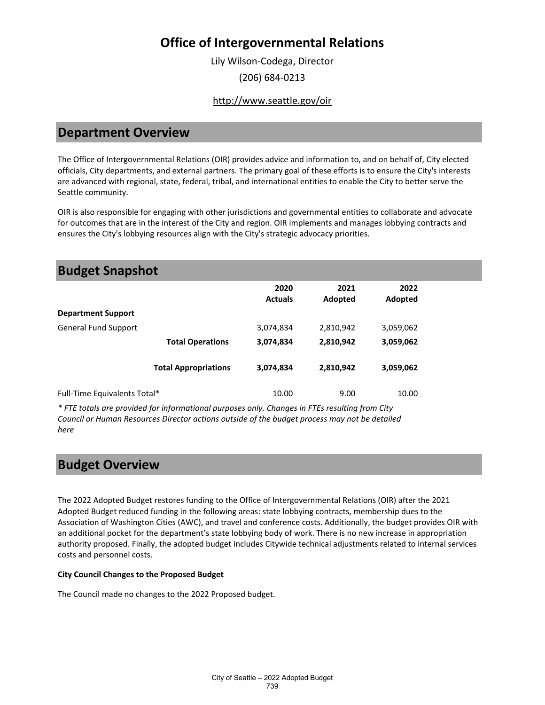Lily Wilson-Codega, Director (206) 684-0213

#### <http://www.seattle.gov/oir>

### **Department Overview**

The Office of Intergovernmental Relations (OIR) provides advice and information to, and on behalf of, City elected officials, City departments, and external partners. The primary goal of these efforts is to ensure the City's interests are advanced with regional, state, federal, tribal, and international entities to enable the City to better serve the Seattle community.

OIR is also responsible for engaging with other jurisdictions and governmental entities to collaborate and advocate for outcomes that are in the interest of the City and region. OIR implements and manages lobbying contracts and ensures the City's lobbying resources align with the City's strategic advocacy priorities.

| <b>Budget Snapshot</b>       |                             |                        |                 |                 |  |
|------------------------------|-----------------------------|------------------------|-----------------|-----------------|--|
|                              |                             | 2020<br><b>Actuals</b> | 2021<br>Adopted | 2022<br>Adopted |  |
| <b>Department Support</b>    |                             |                        |                 |                 |  |
| <b>General Fund Support</b>  |                             | 3,074,834              | 2,810,942       | 3,059,062       |  |
|                              | <b>Total Operations</b>     | 3,074,834              | 2,810,942       | 3,059,062       |  |
|                              | <b>Total Appropriations</b> | 3,074,834              | 2,810,942       | 3,059,062       |  |
| Full-Time Equivalents Total* |                             | 10.00                  | 9.00            | 10.00           |  |

*\* FTE totals are provided for informational purposes only. Changes in FTEs resulting from City Council or Human Resources Director actions outside of the budget process may not be detailed here*

### **Budget Overview**

The 2022 Adopted Budget restores funding to the Office of Intergovernmental Relations (OIR) after the 2021 Adopted Budget reduced funding in the following areas: state lobbying contracts, membership dues to the Association of Washington Cities (AWC), and travel and conference costs. Additionally, the budget provides OIR with an additional pocket for the department's state lobbying body of work. There is no new increase in appropriation authority proposed. Finally, the adopted budget includes Citywide technical adjustments related to internal services costs and personnel costs.

#### **City Council Changes to the Proposed Budget**

The Council made no changes to the 2022 Proposed budget.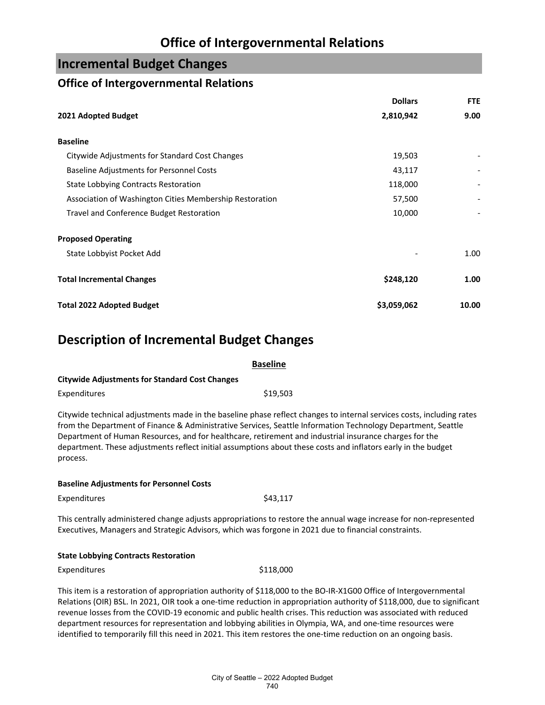### **Incremental Budget Changes**

### **Office of Intergovernmental Relations**

|                                                         | <b>Dollars</b> | <b>FTE</b> |
|---------------------------------------------------------|----------------|------------|
| 2021 Adopted Budget                                     | 2,810,942      | 9.00       |
| <b>Baseline</b>                                         |                |            |
| Citywide Adjustments for Standard Cost Changes          | 19,503         |            |
| <b>Baseline Adjustments for Personnel Costs</b>         | 43,117         |            |
| <b>State Lobbying Contracts Restoration</b>             | 118,000        |            |
| Association of Washington Cities Membership Restoration | 57,500         |            |
| Travel and Conference Budget Restoration                | 10,000         |            |
| <b>Proposed Operating</b>                               |                |            |
| State Lobbyist Pocket Add                               |                | 1.00       |
| <b>Total Incremental Changes</b>                        | \$248,120      | 1.00       |
| <b>Total 2022 Adopted Budget</b>                        | \$3,059,062    | 10.00      |

## **Description of Incremental Budget Changes**

|                                                       | <b>Baseline</b> |
|-------------------------------------------------------|-----------------|
| <b>Citywide Adjustments for Standard Cost Changes</b> |                 |
| Expenditures                                          | \$19.503        |

Citywide technical adjustments made in the baseline phase reflect changes to internal services costs, including rates from the Department of Finance & Administrative Services, Seattle Information Technology Department, Seattle Department of Human Resources, and for healthcare, retirement and industrial insurance charges for the department. These adjustments reflect initial assumptions about these costs and inflators early in the budget process.

#### **Baseline Adjustments for Personnel Costs**

Expenditures \$43,117

This centrally administered change adjusts appropriations to restore the annual wage increase for non-represented Executives, Managers and Strategic Advisors, which was forgone in 2021 due to financial constraints.

#### **State Lobbying Contracts Restoration**

Expenditures \$118,000

This item is a restoration of appropriation authority of \$118,000 to the BO-IR-X1G00 Office of Intergovernmental Relations (OIR) BSL. In 2021, OIR took a one-time reduction in appropriation authority of \$118,000, due to significant revenue losses from the COVID-19 economic and public health crises. This reduction was associated with reduced department resources for representation and lobbying abilities in Olympia, WA, and one-time resources were identified to temporarily fill this need in 2021. This item restores the one-time reduction on an ongoing basis.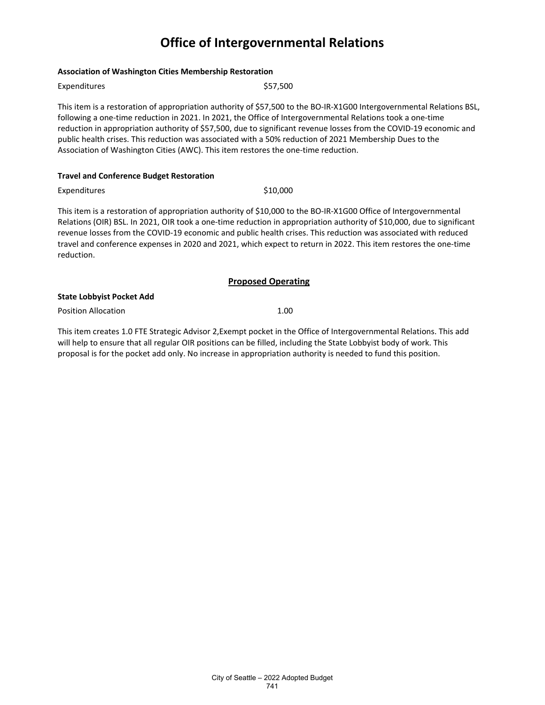#### **Association of Washington Cities Membership Restoration**

| Expenditures                                                                                                                                                                                                                                                                                                                                              | \$57,500 |  |
|-----------------------------------------------------------------------------------------------------------------------------------------------------------------------------------------------------------------------------------------------------------------------------------------------------------------------------------------------------------|----------|--|
| This item is a restoration of appropriation authority of \$57,500 to the BO-IR-X1G00 Intergovernmental Relations BSL,<br>following a one-time reduction in 2021. In 2021, the Office of Intergovernmental Relations took a one-time<br>reduction in appropriation authority of \$57,500, due to significant revenue losses from the COVID-19 economic and |          |  |
| public health crises. This reduction was associated with a 50% reduction of 2021 Membership Dues to the                                                                                                                                                                                                                                                   |          |  |
| Association of Washington Cities (AWC). This item restores the one-time reduction.                                                                                                                                                                                                                                                                        |          |  |

#### **Travel and Conference Budget Restoration**

Expenditures \$10,000

This item is a restoration of appropriation authority of \$10,000 to the BO-IR-X1G00 Office of Intergovernmental Relations (OIR) BSL. In 2021, OIR took a one-time reduction in appropriation authority of \$10,000, due to significant revenue losses from the COVID-19 economic and public health crises. This reduction was associated with reduced travel and conference expenses in 2020 and 2021, which expect to return in 2022. This item restores the one-time reduction.

#### **Proposed Operating**

#### **State Lobbyist Pocket Add**

Position Allocation **1.00** 

This item creates 1.0 FTE Strategic Advisor 2,Exempt pocket in the Office of Intergovernmental Relations. This add will help to ensure that all regular OIR positions can be filled, including the State Lobbyist body of work. This proposal is for the pocket add only. No increase in appropriation authority is needed to fund this position.